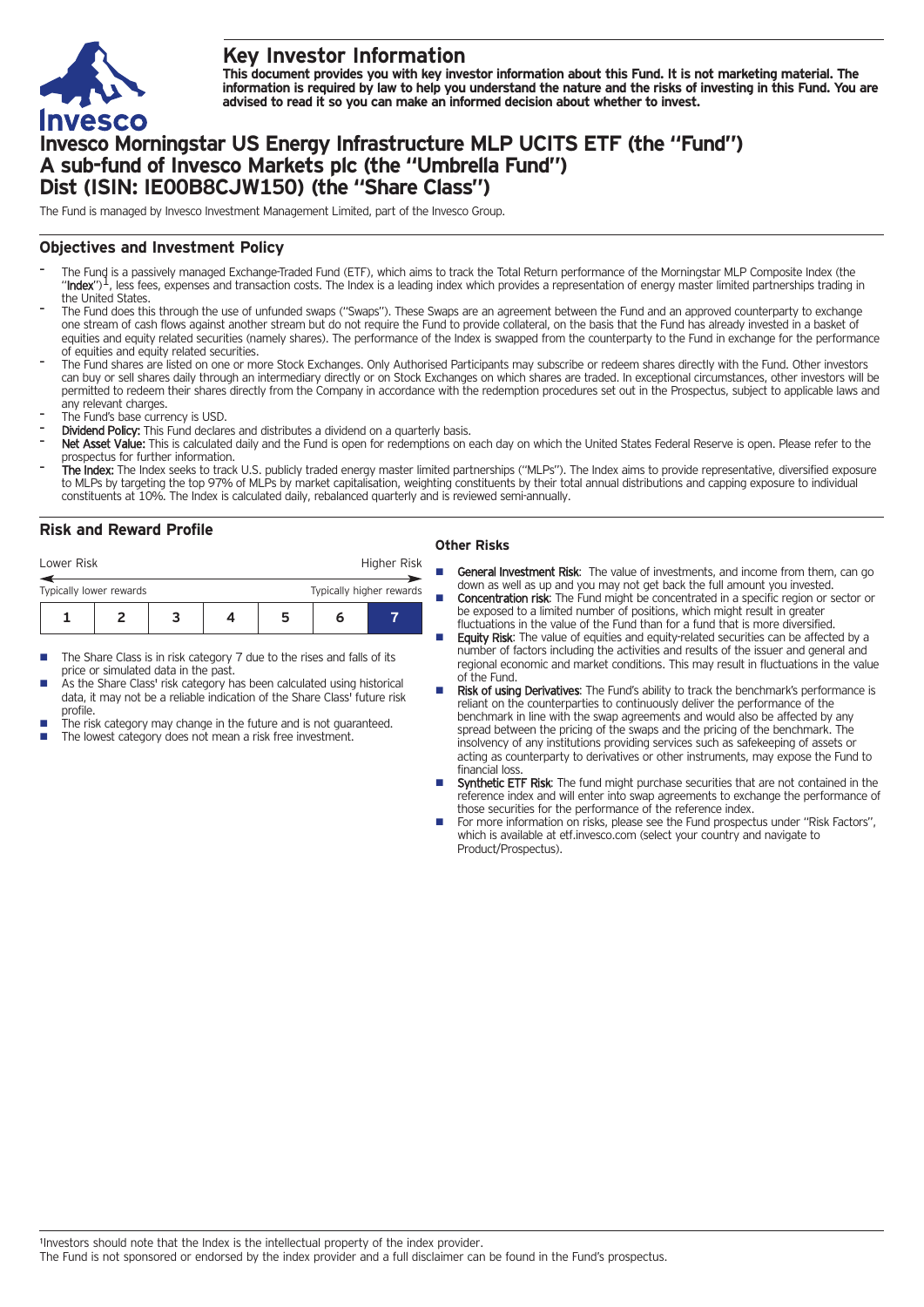

# **Key Investor Information**

This document provides you with key investor information about this Fund. It is not marketing material. The information is required by law to help you understand the nature and the risks of investing in this Fund. You are **advised to read it so you can make an informed decision about whether to invest.**

# **Invesco Morningstar US Energy Infrastructure MLP UCITS ETF (the "Fund") A sub-fund of Invesco Markets plc (the "Umbrella Fund") Dist (ISIN: IE00B8CJW150) (the "Share Class")**

The Fund is managed by Invesco Investment Management Limited, part of the Invesco Group.

## **Objectives and Investment Policy**

- The Fund is a passively managed Exchange-Traded Fund (ETF), which aims to track the Total Return performance of the Morningstar MLP Composite Index (the "Index")<sup>1</sup>, less fees, expenses and transaction costs. The Index is the United States.
- The Fund does this through the use of unfunded swaps ("Swaps"). These Swaps are an agreement between the Fund and an approved counterparty to exchange one stream of cash flows against another stream but do not require the Fund to provide collateral, on the basis that the Fund has already invested in a basket of equities and equity related securities (namely shares). The performance of the Index is swapped from the counterparty to the Fund in exchange for the performance of equities and equity related securities.
- The Fund shares are listed on one or more Stock Exchanges. Only Authorised Participants may subscribe or redeem shares directly with the Fund. Other investors can buy or sell shares daily through an intermediary directly or on Stock Exchanges on which shares are traded. In exceptional circumstances, other investors will be permitted to redeem their shares directly from the Company in accordance with the redemption procedures set out in the Prospectus, subject to applicable laws and any relevant charges.
- The Fund's base currency is USD.
- Dividend Policy: This Fund declares and distributes a dividend on a quarterly basis.
- Net Asset Value: This is calculated daily and the Fund is open for redemptions on each day on which the United States Federal Reserve is open. Please refer to the prospectus for further information.
- The Index: The Index seeks to track U.S. publicly traded energy master limited partnerships ("MLPs"). The Index aims to provide representative, diversified exposure to MLPs by targeting the top 97% of MLPs by market capitalisation, weighting constituents by their total annual distributions and capping exposure to individual constituents at 10%. The Index is calculated daily, rebalanced quarterly and is reviewed semi-annually.

# **Risk and Reward Profile**

| Lower Risk                                          |  |  |  | Higher Risk |  |  |
|-----------------------------------------------------|--|--|--|-------------|--|--|
| Typically higher rewards<br>Typically lower rewards |  |  |  |             |  |  |
|                                                     |  |  |  |             |  |  |

- The Share Class is in risk category 7 due to the rises and falls of its price or simulated data in the past.
- As the Share Class' risk category has been calculated using historical data, it may not be a reliable indication of the Share Class' future risk profile.
- The risk category may change in the future and is not guaranteed.
- The lowest category does not mean a risk free investment.

### **Other Risks**

- General Investment Risk: The value of investments, and income from them. can go down as well as up and you may not get back the full amount you invested.
- **Concentration risk:** The Fund might be concentrated in a specific region or sector or be exposed to a limited number of positions, which might result in greater fluctuations in the value of the Fund than for a fund that is more diversified.
- Equity Risk: The value of equities and equity-related securities can be affected by a number of factors including the activities and results of the issuer and general and regional economic and market conditions. This may result in fluctuations in the value of the Fund.
- Risk of using Derivatives: The Fund's ability to track the benchmark's performance is reliant on the counterparties to continuously deliver the performance of the benchmark in line with the swap agreements and would also be affected by any spread between the pricing of the swaps and the pricing of the benchmark. The insolvency of any institutions providing services such as safekeeping of assets or acting as counterparty to derivatives or other instruments, may expose the Fund to financial loss.
- Synthetic ETF Risk: The fund might purchase securities that are not contained in the reference index and will enter into swap agreements to exchange the performance of those securities for the performance of the reference index.
- For more information on risks, please see the Fund prospectus under "Risk Factors", which is available at etf.invesco.com (select your country and navigate to Product/Prospectus).